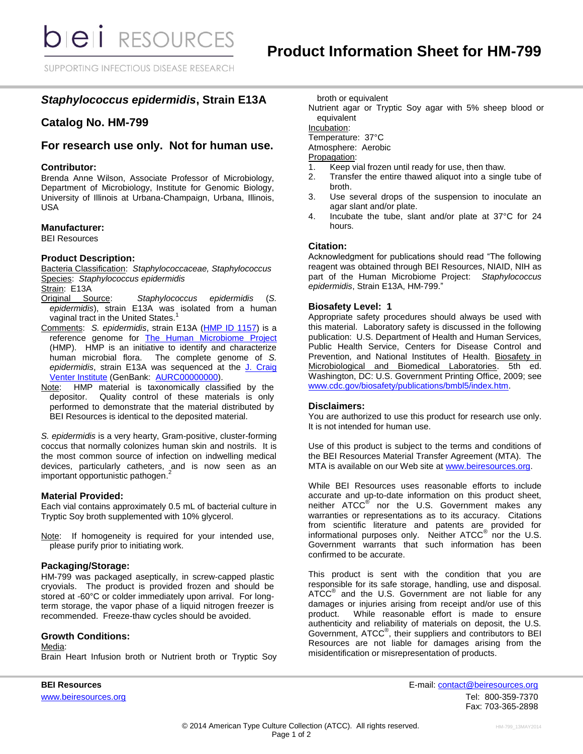SUPPORTING INFECTIOUS DISEASE RESEARCH

# *Staphylococcus epidermidis***, Strain E13A**

## **Catalog No. HM-799**

## **For research use only. Not for human use.**

### **Contributor:**

Brenda Anne Wilson, Associate Professor of Microbiology, Department of Microbiology, Institute for Genomic Biology, University of Illinois at Urbana-Champaign, Urbana, Illinois, USA

### **Manufacturer:**

BEI Resources

## **Product Description:**

Bacteria Classification: *Staphylococcaceae, Staphylococcus* Species: *Staphylococcus epidermidis*

Strain: E13A

- Original Source: *Staphylococcus epidermidis* (*S. epidermidis*), strain E13A was isolated from a human vaginal tract in the United States.<sup>1</sup>
- Comments: *S. epidermidis*, strain E13A [\(HMP ID 1157\)](http://www.hmpdacc.org/catalog/grid.php?dataset=genomic&hmp_id=1157) is a reference genome for [The Human Microbiome Project](https://commonfund.nih.gov/hmp/) (HMP). HMP is an initiative to identify and characterize human microbial flora. The complete genome of *S. epidermidis*, strain E13A was sequenced at the [J. Craig](https://projectsampletracking.jcvi.org/projectWebsites/sampleDetail.action?projectName=HMP%20U54&projectId=1129918815131&sampleName=hmp284&sampleId=1130321705059)  [Venter Institute](https://projectsampletracking.jcvi.org/projectWebsites/sampleDetail.action?projectName=HMP%20U54&projectId=1129918815131&sampleName=hmp284&sampleId=1130321705059) (GenBank: [AURC00000000\)](http://www.ncbi.nlm.nih.gov/nucleotide/AURC00000000?).
- Note: HMP material is taxonomically classified by the depositor. Quality control of these materials is only performed to demonstrate that the material distributed by BEI Resources is identical to the deposited material.

*S. epidermidis* is a very hearty, Gram-positive, cluster-forming coccus that normally colonizes human skin and nostrils. It is the most common source of infection on indwelling medical devices, particularly catheters, and is now seen as an important opportunistic pathogen. 2

## **Material Provided:**

Each vial contains approximately 0.5 mL of bacterial culture in Tryptic Soy broth supplemented with 10% glycerol.

Note: If homogeneity is required for your intended use, please purify prior to initiating work.

## **Packaging/Storage:**

HM-799 was packaged aseptically, in screw-capped plastic cryovials. The product is provided frozen and should be stored at -60°C or colder immediately upon arrival. For longterm storage, the vapor phase of a liquid nitrogen freezer is recommended. Freeze-thaw cycles should be avoided.

## **Growth Conditions:**

Media:

Brain Heart Infusion broth or Nutrient broth or Tryptic Soy

broth or equivalent

Nutrient agar or Tryptic Soy agar with 5% sheep blood or equivalent

Incubation:

Temperature: 37°C

Atmosphere: Aerobic

Propagation:

- 1. Keep vial frozen until ready for use, then thaw.
- 2. Transfer the entire thawed aliquot into a single tube of broth.
- 3. Use several drops of the suspension to inoculate an agar slant and/or plate.
- 4. Incubate the tube, slant and/or plate at 37°C for 24 hours.

## **Citation:**

Acknowledgment for publications should read "The following reagent was obtained through BEI Resources, NIAID, NIH as part of the Human Microbiome Project: *Staphylococcus epidermidis*, Strain E13A, HM-799."

#### **Biosafety Level: 1**

Appropriate safety procedures should always be used with this material. Laboratory safety is discussed in the following publication: U.S. Department of Health and Human Services, Public Health Service, Centers for Disease Control and Prevention, and National Institutes of Health. Biosafety in Microbiological and Biomedical Laboratories. 5th ed. Washington, DC: U.S. Government Printing Office, 2009; see [www.cdc.gov/biosafety/publications/bmbl5/index.htm.](http://www.cdc.gov/biosafety/publications/bmbl5/index.htm)

#### **Disclaimers:**

You are authorized to use this product for research use only. It is not intended for human use.

Use of this product is subject to the terms and conditions of the BEI Resources Material Transfer Agreement (MTA). The MTA is available on our Web site at [www.beiresources.org.](http://www.beiresources.org/)

While BEI Resources uses reasonable efforts to include accurate and up-to-date information on this product sheet, neither ATCC<sup>®</sup> nor the U.S. Government makes any warranties or representations as to its accuracy. Citations from scientific literature and patents are provided for informational purposes only. Neither  $\tt{ATCC}^@$  nor the U.S. Government warrants that such information has been confirmed to be accurate.

This product is sent with the condition that you are responsible for its safe storage, handling, use and disposal. ATCC<sup>®</sup> and the U.S. Government are not liable for any damages or injuries arising from receipt and/or use of this product. While reasonable effort is made to ensure authenticity and reliability of materials on deposit, the U.S. Government, ATCC® , their suppliers and contributors to BEI Resources are not liable for damages arising from the misidentification or misrepresentation of products.

**BEI Resources** E-mail: contact@beiresources.org www.beiresources.orgTel: 800-359-7370 Fax: 703-365-2898